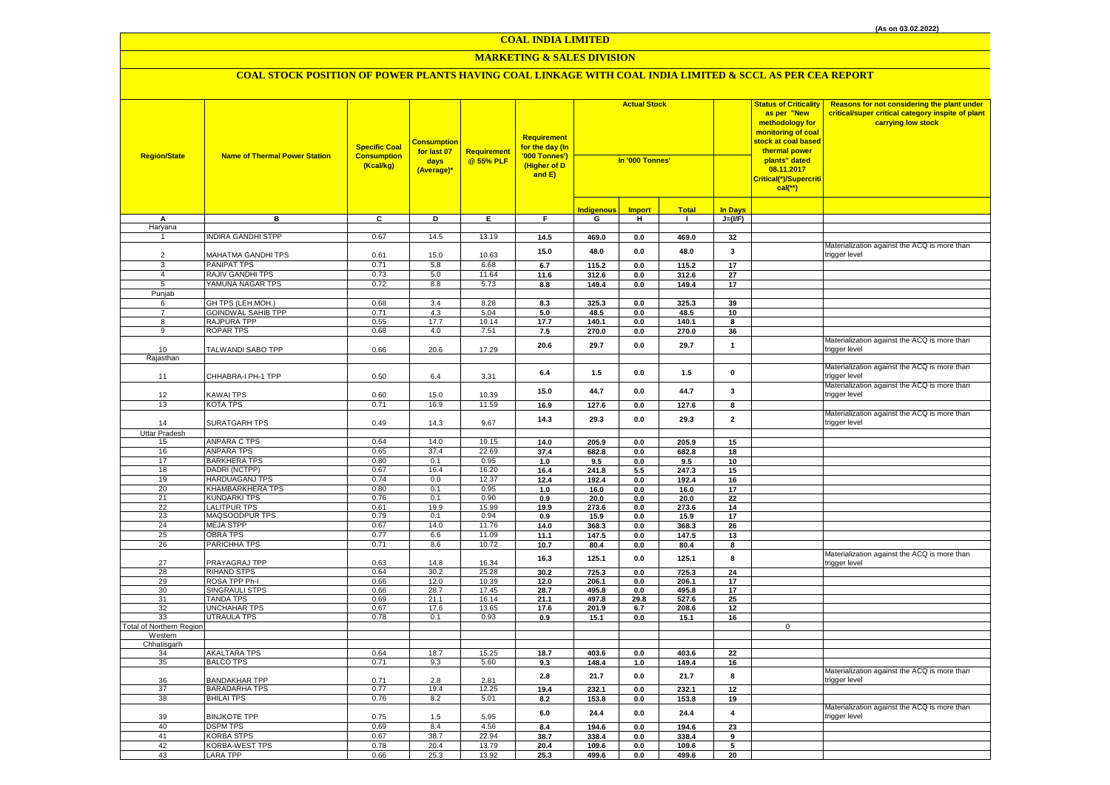# **MARKETING & SALES DIVISION**

| <b>Region/State</b>             | <b>Name of Thermal Power Station</b>    | <b>Specific Coal</b><br><b>Consumption</b><br>(Kcal/kg) | <b>Consumption</b><br>for last 07<br>days<br>(Average)* | Requirement<br>@ 55% PLF | <b>Requirement</b><br>for the day (In<br>'000 Tonnes')<br>(Higher of D<br>and E) | <b>Actual Stock</b><br>In '000 Tonnes' |               |                |                         | <b>Status of Criticality</b><br>as per "New<br>methodology for<br>monitoring of coal<br><mark>stock at coal based</mark><br>thermal power<br>plants" dated<br>08.11.2017<br>Critical(*)/Supercriti<br>$cal$ (**) | Reasons for not considering the plant under<br>critical/super critical category inspite of plant<br>carrying low stock |
|---------------------------------|-----------------------------------------|---------------------------------------------------------|---------------------------------------------------------|--------------------------|----------------------------------------------------------------------------------|----------------------------------------|---------------|----------------|-------------------------|------------------------------------------------------------------------------------------------------------------------------------------------------------------------------------------------------------------|------------------------------------------------------------------------------------------------------------------------|
|                                 |                                         |                                                         |                                                         |                          |                                                                                  | <b>Indigenous</b>                      | <b>Import</b> | <b>Total</b>   | <b>In Days</b>          |                                                                                                                                                                                                                  |                                                                                                                        |
| А<br>Haryana                    | в                                       | C                                                       | D                                                       | E                        | F.                                                                               | G                                      | н             | $\mathbf{1}$   | $J=(VF)$                |                                                                                                                                                                                                                  |                                                                                                                        |
| $\mathbf{1}$                    | <b>NDIRA GANDHI STPP</b>                | 0.67                                                    | 14.5                                                    | 13.19                    | 14.5                                                                             | 469.0                                  | $0.0\,$       | 469.0          | 32                      |                                                                                                                                                                                                                  |                                                                                                                        |
|                                 |                                         |                                                         |                                                         |                          |                                                                                  |                                        |               |                |                         |                                                                                                                                                                                                                  | Materialization against the ACQ is more than                                                                           |
| $\overline{2}$                  | MAHATMA GANDHI TPS                      | 0.61                                                    | 15.0                                                    | 10.63                    | 15.0                                                                             | 48.0                                   | 0.0           | 48.0           | 3                       |                                                                                                                                                                                                                  | trigger level                                                                                                          |
| 3                               | <b>PANIPAT TPS</b>                      | 0.71                                                    | 5.8                                                     | 6.68                     | 6.7                                                                              | 115.2                                  | 0.0           | 115.2          | 17                      |                                                                                                                                                                                                                  |                                                                                                                        |
| $\overline{4}$                  | RAJIV GANDHI TPS                        | 0.73                                                    | 5.0                                                     | 11.64                    | 11.6                                                                             | 312.6                                  | 0.0           | 312.6          | 27                      |                                                                                                                                                                                                                  |                                                                                                                        |
| 5                               | YAMUNA NAGAR TPS                        | 0.72                                                    | 8.8                                                     | 5.73                     | 8.8                                                                              | 149.4                                  | 0.0           | 149.4          | 17                      |                                                                                                                                                                                                                  |                                                                                                                        |
| Punjab                          |                                         |                                                         |                                                         |                          |                                                                                  |                                        |               |                |                         |                                                                                                                                                                                                                  |                                                                                                                        |
| 6<br>$\overline{7}$             | GH TPS (LEH.MOH.)<br>GOINDWAL SAHIB TPP | 0.68<br>0.71                                            | 3.4<br>4.3                                              | 8.28<br>5.04             | 8.3<br>5.0                                                                       | 325.3<br>48.5                          | 0.0           | 325.3<br>48.5  | 39<br>10                |                                                                                                                                                                                                                  |                                                                                                                        |
| 8                               | RAJPURA TPP                             | 0.55                                                    | 17.7                                                    | 10.14                    | 17.7                                                                             | 140.1                                  | 0.0<br>0.0    | 140.1          | 8                       |                                                                                                                                                                                                                  |                                                                                                                        |
| 9                               | <b>ROPAR TPS</b>                        | 0.68                                                    | 4.0                                                     | 7.51                     | 7.5                                                                              | 270.0                                  | 0.0           | 270.0          | 36                      |                                                                                                                                                                                                                  |                                                                                                                        |
|                                 |                                         |                                                         |                                                         |                          |                                                                                  |                                        |               |                |                         |                                                                                                                                                                                                                  | Materialization against the ACQ is more than                                                                           |
| 10                              | TALWANDI SABO TPP                       | 0.66                                                    | 20.6                                                    | 17.29                    | 20.6                                                                             | 29.7                                   | 0.0           | 29.7           | $\mathbf{1}$            |                                                                                                                                                                                                                  | trigger level                                                                                                          |
| Rajasthan                       |                                         |                                                         |                                                         |                          |                                                                                  |                                        |               |                |                         |                                                                                                                                                                                                                  |                                                                                                                        |
|                                 |                                         |                                                         |                                                         |                          | 6.4                                                                              | 1.5                                    | 0.0           | $1.5$          | 0                       |                                                                                                                                                                                                                  | Materialization against the ACQ is more than                                                                           |
| 11                              | CHHABRA-I PH-1 TPP                      | 0.50                                                    | 6.4                                                     | 3.31                     |                                                                                  |                                        |               |                |                         |                                                                                                                                                                                                                  | rigger level<br>Materialization against the ACQ is more than                                                           |
| 12                              | KAWAI TPS                               | 0.60                                                    | 15.0                                                    | 10.39                    | 15.0                                                                             | 44.7                                   | 0.0           | 44.7           | 3                       |                                                                                                                                                                                                                  | trigger level                                                                                                          |
| 13                              | KOTA TPS                                | 0.71                                                    | 16.9                                                    | 11.59                    | 16.9                                                                             | 127.6                                  | $0.0\,$       | 127.6          | 8                       |                                                                                                                                                                                                                  |                                                                                                                        |
|                                 |                                         |                                                         |                                                         |                          |                                                                                  |                                        |               |                |                         |                                                                                                                                                                                                                  | Materialization against the ACQ is more than                                                                           |
| 14                              | SURATGARH TPS                           | 0.49                                                    | 14.3                                                    | 9.67                     | 14.3                                                                             | 29.3                                   | 0.0           | 29.3           | $\overline{\mathbf{2}}$ |                                                                                                                                                                                                                  | trigger level                                                                                                          |
| Uttar Pradesh                   |                                         |                                                         |                                                         |                          |                                                                                  |                                        |               |                |                         |                                                                                                                                                                                                                  |                                                                                                                        |
| 15                              | ANPARA C TPS                            | 0.64                                                    | 14.0                                                    | 10.15                    | 14.0                                                                             | 205.9                                  | $0.0\,$       | 205.9          | 15                      |                                                                                                                                                                                                                  |                                                                                                                        |
| 16                              | <b>ANPARA TPS</b>                       | 0.65                                                    | 37.4                                                    | 22.69                    | 37.4                                                                             | 682.8                                  | 0.0           | 682.8          | 18                      |                                                                                                                                                                                                                  |                                                                                                                        |
| 17<br>18                        | <b>BARKHERA TPS</b><br>DADRI (NCTPP)    | 0.80<br>0.67                                            | 0.1<br>16.4                                             | 0.95<br>16.20            | 1.0<br>16.4                                                                      | 9.5<br>241.8                           | 0.0<br>5.5    | 9.5<br>247.3   | 10<br>15                |                                                                                                                                                                                                                  |                                                                                                                        |
| 19                              | <b>HARDUAGANJ TPS</b>                   | 0.74                                                    | 0.0                                                     | 12.37                    | 12.4                                                                             | 192.4                                  | $0.0\,$       | 192.4          | 16                      |                                                                                                                                                                                                                  |                                                                                                                        |
| 20                              | KHAMBARKHERA TPS                        | 0.80                                                    | 0.1                                                     | 0.95                     | 1.0                                                                              | 16.0                                   | $0.0\,$       | 16.0           | 17                      |                                                                                                                                                                                                                  |                                                                                                                        |
| 21                              | <b>KUNDARKI TPS</b>                     | 0.76                                                    | 0.1                                                     | 0.90                     | 0.9                                                                              | 20.0                                   | 0.0           | 20.0           | 22                      |                                                                                                                                                                                                                  |                                                                                                                        |
| 22                              | <b>LALITPUR TPS</b>                     | 0.61                                                    | 19.9                                                    | 15.99                    | 19.9                                                                             | 273.6                                  | 0.0           | 273.6          | 14                      |                                                                                                                                                                                                                  |                                                                                                                        |
| 23                              | MAQSOODPUR TPS                          | 0.79                                                    | 0.1                                                     | 0.94                     | 0.9                                                                              | 15.9                                   | 0.0           | 15.9           | 17                      |                                                                                                                                                                                                                  |                                                                                                                        |
| 24<br>25                        | <b>MEJA STPP</b><br><b>OBRA TPS</b>     | 0.67<br>0.77                                            | 14.0<br>6.6                                             | 11.76<br>11.09           | 14.0                                                                             | 368.3                                  | 0.0           | 368.3          | 26                      |                                                                                                                                                                                                                  |                                                                                                                        |
| 26                              | PARICHHA TPS                            | 0.71                                                    | 8.6                                                     | 10.72                    | 11.1<br>10.7                                                                     | 147.5<br>80.4                          | 0.0<br>0.0    | 147.5<br>80.4  | 13<br>8                 |                                                                                                                                                                                                                  |                                                                                                                        |
|                                 |                                         |                                                         |                                                         |                          |                                                                                  |                                        |               |                |                         |                                                                                                                                                                                                                  | Materialization against the ACQ is more than                                                                           |
| 27                              | PRAYAGRAJ TPP                           | 0.63                                                    | 14.8                                                    | 16.34                    | 16.3                                                                             | 125.1                                  | 0.0           | 125.1          | 8                       |                                                                                                                                                                                                                  | trigger level                                                                                                          |
| 28                              | <b>RIHAND STPS</b>                      | 0.64                                                    | 30.2                                                    | 25.28                    | 30.2                                                                             | 725.3                                  | 0.0           | 725.3          | 24                      |                                                                                                                                                                                                                  |                                                                                                                        |
| 29                              | ROSA TPP Ph-I                           | 0.66                                                    | 12.0                                                    | 10.39                    | 12.0                                                                             | 206.1                                  | 0.0           | 206.1          | 17                      |                                                                                                                                                                                                                  |                                                                                                                        |
| 30<br>31                        | <b>SINGRAULI STPS</b><br>TANDA TPS      | 0.66<br>0.69                                            | 28.7<br>21.1                                            | 17.45<br>16.14           | 28.7                                                                             | 495.8<br>497.8                         | 0.0<br>29.8   | 495.8          | 17<br>25                |                                                                                                                                                                                                                  |                                                                                                                        |
| 32                              | UNCHAHAR TPS                            | 0.67                                                    | 17.6                                                    | 13.65                    | 21.1<br>17.6                                                                     | 201.9                                  | 6.7           | 527.6<br>208.6 | 12                      |                                                                                                                                                                                                                  |                                                                                                                        |
| 33                              | UTRAULA TPS                             | 0.78                                                    | 0.1                                                     | 0.93                     | 0.9                                                                              | 15.1                                   | 0.0           | 15.1           | 16                      |                                                                                                                                                                                                                  |                                                                                                                        |
| <b>Total of Northern Regior</b> |                                         |                                                         |                                                         |                          |                                                                                  |                                        |               |                |                         | $\mathbf 0$                                                                                                                                                                                                      |                                                                                                                        |
| Western                         |                                         |                                                         |                                                         |                          |                                                                                  |                                        |               |                |                         |                                                                                                                                                                                                                  |                                                                                                                        |
| Chhatisgarh                     |                                         |                                                         |                                                         |                          |                                                                                  |                                        |               |                |                         |                                                                                                                                                                                                                  |                                                                                                                        |
| 34<br>35                        | <b>AKALTARA TPS</b><br><b>BALCO TPS</b> | 0.64<br>0.71                                            | 18.7<br>9.3                                             | 15.25<br>5.60            | 18.7<br>9.3                                                                      | 403.6<br>148.4                         | 0.0<br>1.0    | 403.6<br>149.4 | 22<br>16                |                                                                                                                                                                                                                  |                                                                                                                        |
|                                 |                                         |                                                         |                                                         |                          |                                                                                  |                                        |               |                |                         |                                                                                                                                                                                                                  | Materialization against the ACQ is more than                                                                           |
| 36                              | <b>BANDAKHAR TPP</b>                    | 0.71                                                    | 2.8                                                     | 2.81                     | $2.8$                                                                            | 21.7                                   | 0.0           | 21.7           | 8                       |                                                                                                                                                                                                                  | trigger level                                                                                                          |
| 37                              | BARADARHA TPS                           | 0.77                                                    | 19.4                                                    | 12.25                    | 19.4                                                                             | 232.1                                  | 0.0           | 232.1          | 12                      |                                                                                                                                                                                                                  |                                                                                                                        |
| 38                              | <b>BHILAI TPS</b>                       | 0.76                                                    | 8.2                                                     | 5.01                     | 8.2                                                                              | 153.8                                  | 0.0           | 153.8          | 19                      |                                                                                                                                                                                                                  |                                                                                                                        |
|                                 |                                         |                                                         |                                                         |                          | 6.0                                                                              | 24.4                                   | 0.0           | 24.4           | $\overline{\mathbf{4}}$ |                                                                                                                                                                                                                  | Materialization against the ACQ is more than<br>trigger level                                                          |
| 39<br>40                        | <b>BINJKOTE TPP</b><br><b>DSPM TPS</b>  | 0.75<br>0.69                                            | 1.5<br>8.4                                              | 5.95<br>4.56             | 8.4                                                                              | 194.6                                  | 0.0           | 194.6          | 23                      |                                                                                                                                                                                                                  |                                                                                                                        |
| 41                              | KORBA STPS                              | 0.67                                                    | 38.7                                                    | 22.94                    | 38.7                                                                             | 338.4                                  | 0.0           | 338.4          | 9                       |                                                                                                                                                                                                                  |                                                                                                                        |
| 42                              | KORBA-WEST TPS                          | 0.78                                                    | 20.4                                                    | 13.79                    | 20.4                                                                             | 109.6                                  | 0.0           | 109.6          | 5                       |                                                                                                                                                                                                                  |                                                                                                                        |
| 43                              | <b>LARA TPP</b>                         | 0.66                                                    | 25.3                                                    | 13.92                    | 25.3                                                                             | 499.6                                  | 0.0           | 499.6          | 20                      |                                                                                                                                                                                                                  |                                                                                                                        |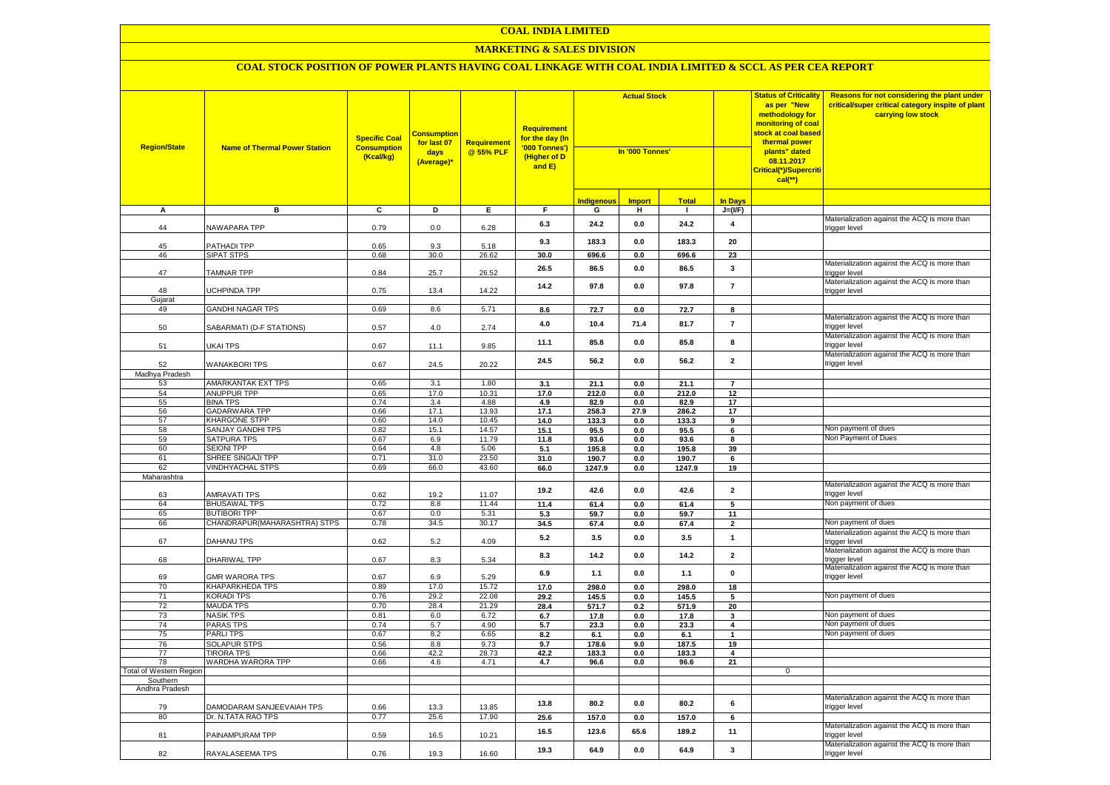#### **MARKETING & SALES DIVISION**

| <b>Region/State</b>     | <b>Name of Thermal Power Station</b>    | <b>Specific Coal</b><br><b>Consumption</b><br>(Kcal/kg) | <b>Consumption</b><br>for last 07<br>days<br>(Average)* | Requirement<br>@ 55% PLF | <b>Requirement</b><br>for the day (In<br>'000 Tonnes')<br>(Higher of D<br>and E) | <b>Actual Stock</b><br>In '000 Tonnes' |                |               |                         |              |                                                               | <b>Status of Criticality</b><br>as per "New<br>methodology for<br>monitoring of coal<br><mark>stock at coal based</mark><br>thermal power<br>plants" dated<br>08.11.2017<br>Critical(*)/Supercriti<br>$cal$ (**) | Reasons for not considering the plant under<br>critical/super critical category inspite of plant<br>carrying low stock |
|-------------------------|-----------------------------------------|---------------------------------------------------------|---------------------------------------------------------|--------------------------|----------------------------------------------------------------------------------|----------------------------------------|----------------|---------------|-------------------------|--------------|---------------------------------------------------------------|------------------------------------------------------------------------------------------------------------------------------------------------------------------------------------------------------------------|------------------------------------------------------------------------------------------------------------------------|
|                         |                                         |                                                         |                                                         |                          |                                                                                  | <u>Indigenous</u>                      | <b>Import</b>  | <b>Total</b>  | In Days                 |              |                                                               |                                                                                                                                                                                                                  |                                                                                                                        |
| A                       | в                                       | $\overline{c}$                                          | Þ                                                       | E                        | F                                                                                | G                                      | н              | п.            | $J=(VF)$                |              |                                                               |                                                                                                                                                                                                                  |                                                                                                                        |
| 44                      | NAWAPARA TPP                            | 0.79                                                    | 0.0                                                     | 6.28                     | 6.3                                                                              | 24.2                                   | 0.0            | 24.2          | $\overline{\mathbf{4}}$ |              | Materialization against the ACQ is more than<br>trigger level |                                                                                                                                                                                                                  |                                                                                                                        |
| 45                      | PATHADI TPP                             | 0.65                                                    | 9.3                                                     | 5.18                     | 9.3                                                                              | 183.3                                  | 0.0            | 183.3         | 20                      |              |                                                               |                                                                                                                                                                                                                  |                                                                                                                        |
| 46                      | <b>SIPAT STPS</b>                       | 0.68                                                    | 30.0                                                    | 26.62                    | 30.0                                                                             | 696.6                                  | 0.0            | 696.6         | 23                      |              |                                                               |                                                                                                                                                                                                                  |                                                                                                                        |
| 47                      | <b>TAMNAR TPP</b>                       | 0.84                                                    | 25.7                                                    | 26.52                    | 26.5                                                                             | 86.5                                   | 0.0            | 86.5          | 3                       |              | Materialization against the ACQ is more than<br>trigger level |                                                                                                                                                                                                                  |                                                                                                                        |
| 48                      | <b>JCHPINDA TPP</b>                     | 0.75                                                    | 13.4                                                    | 14.22                    | 14.2                                                                             | 97.8                                   | 0.0            | 97.8          | $\overline{7}$          |              | Materialization against the ACQ is more than<br>trigger level |                                                                                                                                                                                                                  |                                                                                                                        |
| Gujarat                 |                                         |                                                         |                                                         |                          |                                                                                  |                                        |                |               |                         |              |                                                               |                                                                                                                                                                                                                  |                                                                                                                        |
| 49                      | <b>GANDHI NAGAR TPS</b>                 | 0.69                                                    | 8.6                                                     | 5.71                     | 8.6                                                                              | 72.7                                   | $\mathbf{0.0}$ | 72.7          | 8                       |              | Materialization against the ACQ is more than                  |                                                                                                                                                                                                                  |                                                                                                                        |
| 50                      | SABARMATI (D-F STATIONS)                | 0.57                                                    | 4.0                                                     | 2.74                     | 4.0                                                                              | 10.4                                   | 71.4           | 81.7          | $\overline{7}$          |              | trigger level<br>Materialization against the ACQ is more than |                                                                                                                                                                                                                  |                                                                                                                        |
| 51                      | UKAI TPS                                | 0.67                                                    | 11.1                                                    | 9.85                     | 11.1                                                                             | 85.8                                   | 0.0            | 85.8          | 8                       |              | trigger level<br>Materialization against the ACQ is more than |                                                                                                                                                                                                                  |                                                                                                                        |
| 52                      | <b>WANAKBORI TPS</b>                    | 0.67                                                    | 24.5                                                    | 20.22                    | 24.5                                                                             | 56.2                                   | 0.0            | 56.2          | $\overline{2}$          |              | trigger level                                                 |                                                                                                                                                                                                                  |                                                                                                                        |
| Madhya Pradesh          |                                         |                                                         |                                                         |                          |                                                                                  |                                        |                |               |                         |              |                                                               |                                                                                                                                                                                                                  |                                                                                                                        |
| 53                      | AMARKANTAK EXT TPS                      | 0.65                                                    | 3.1                                                     | 1.80                     | 3.1                                                                              | 21.1                                   | 0.0            | 21.1          | $\overline{7}$          |              |                                                               |                                                                                                                                                                                                                  |                                                                                                                        |
| 54                      | ANUPPUR TPP                             | 0.65                                                    | 17.0                                                    | 10.31                    | 17.0                                                                             | 212.0                                  | 0.0            | 212.0         | 12                      |              |                                                               |                                                                                                                                                                                                                  |                                                                                                                        |
| 55<br>56                | <b>BINA TPS</b><br><b>GADARWARA TPP</b> | 0.74<br>0.66                                            | 3.4<br>17.1                                             | 4.88<br>13.93            | 4.9<br>17.1                                                                      | 82.9<br>258.3                          | 0.0<br>27.9    | 82.9<br>286.2 | 17<br>17                |              |                                                               |                                                                                                                                                                                                                  |                                                                                                                        |
| 57                      | <b>KHARGONE STPP</b>                    | 0.60                                                    | 14.0                                                    | 10.45                    | 14.0                                                                             | 133.3                                  | 0.0            | 133.3         | 9                       |              |                                                               |                                                                                                                                                                                                                  |                                                                                                                        |
| 58                      | SANJAY GANDHI TPS                       | 0.82                                                    | 15.1                                                    | 14.57                    | 15.1                                                                             | 95.5                                   | 0.0            | 95.5          | 6                       |              | Non payment of dues                                           |                                                                                                                                                                                                                  |                                                                                                                        |
| 59                      | <b>SATPURA TPS</b>                      | 0.67                                                    | 6.9                                                     | 11.79                    | 11.8                                                                             | 93.6                                   | 0.0            | 93.6          | 8                       |              | Non Payment of Dues                                           |                                                                                                                                                                                                                  |                                                                                                                        |
| 60                      | <b>SEIONI TPP</b>                       | 0.64                                                    | 4.8                                                     | 5.06                     | 5.1                                                                              | 195.8                                  | 0.0            | 195.8         | 39                      |              |                                                               |                                                                                                                                                                                                                  |                                                                                                                        |
| 61                      | SHREE SINGAJI TPP                       | 0.71                                                    | 31.0                                                    | 23.50                    | 31.0                                                                             | 190.7                                  | 0.0            | 190.7         | 6                       |              |                                                               |                                                                                                                                                                                                                  |                                                                                                                        |
| 62                      | <b>VINDHYACHAL STPS</b>                 | 0.69                                                    | 66.0                                                    | 43.60                    | 66.0                                                                             | 1247.9                                 | 0.0            | 1247.9        | 19                      |              |                                                               |                                                                                                                                                                                                                  |                                                                                                                        |
| Maharashtra             |                                         |                                                         |                                                         |                          |                                                                                  |                                        |                |               |                         |              |                                                               |                                                                                                                                                                                                                  |                                                                                                                        |
| 63                      | <b>AMRAVATI TPS</b>                     | 0.62                                                    | 19.2                                                    | 11.07                    | 19.2                                                                             | 42.6                                   | 0.0            | 42.6          | $\overline{\mathbf{2}}$ |              | Materialization against the ACQ is more than<br>trigger level |                                                                                                                                                                                                                  |                                                                                                                        |
| 64                      | <b>BHUSAWAL TPS</b>                     | 0.72                                                    | 8.8                                                     | 11.44                    | 11.4                                                                             | 61.4                                   | 0.0            | 61.4          | 5                       |              | Non payment of dues                                           |                                                                                                                                                                                                                  |                                                                                                                        |
| 65                      | <b>BUTIBORI TPP</b>                     | 0.67                                                    | 0.0                                                     | 5.31                     | 5.3                                                                              | 59.7                                   | $0.0\,$        | 59.7          | 11                      |              |                                                               |                                                                                                                                                                                                                  |                                                                                                                        |
| 66                      | CHANDRAPUR (MAHARASHTRA) STPS           | 0.78                                                    | 34.5                                                    | 30.17                    | 34.5                                                                             | 67.4                                   | 0.0            | 67.4          | $\overline{2}$          |              | Von payment of dues                                           |                                                                                                                                                                                                                  |                                                                                                                        |
| 67                      | <b>DAHANU TPS</b>                       | 0.62                                                    | 5.2                                                     | 4.09                     | 5.2                                                                              | 3.5                                    | 0.0            | 3.5           | $\mathbf{1}$            |              | Materialization against the ACQ is more than<br>trigger level |                                                                                                                                                                                                                  |                                                                                                                        |
| 68                      | DHARIWAL TPP                            | 0.67                                                    | 8.3                                                     | 5.34                     | 8.3                                                                              | 14.2                                   | 0.0            | 14.2          | $\mathbf 2$             |              | Materialization against the ACQ is more than<br>trigger level |                                                                                                                                                                                                                  |                                                                                                                        |
| 69                      | <b>GMR WARORA TPS</b>                   | 0.67                                                    | 6.9                                                     | 5.29                     | 6.9                                                                              | 1.1                                    | 0.0            | 1.1           | $\pmb{0}$               |              | Materialization against the ACQ is more than<br>trigger level |                                                                                                                                                                                                                  |                                                                                                                        |
| 70                      | <b>KHAPARKHEDA TPS</b>                  | 0.89                                                    | 17.0                                                    | 15.72                    | 17.0                                                                             | 298.0                                  | 0.0            | 298.0         | 18                      |              |                                                               |                                                                                                                                                                                                                  |                                                                                                                        |
| 71                      | <b>KORADI TPS</b>                       | 0.76                                                    | 29.2                                                    | 22.08                    | 29.2                                                                             | 145.5                                  | 0.0            | 145.5         | 5                       |              | Non payment of dues                                           |                                                                                                                                                                                                                  |                                                                                                                        |
| 72                      | <b>MAUDA TPS</b>                        | 0.70                                                    | 28.4                                                    | 21.29                    | 28.4                                                                             | 571.7                                  | 0.2            | 571.9         | 20                      |              |                                                               |                                                                                                                                                                                                                  |                                                                                                                        |
| 73<br>74                | <b>NASIK TPS</b><br><b>PARAS TPS</b>    | 0.81<br>0.74                                            | 6.0<br>5.7                                              | 6.72<br>4.90             | 6.7                                                                              | 17.8                                   | 0.0            | 17.8          | 3                       |              | Non payment of dues<br>Non payment of dues                    |                                                                                                                                                                                                                  |                                                                                                                        |
| 75                      | PARLI TPS                               | 0.67                                                    | 8.2                                                     | 6.65                     | 5.7<br>8.2                                                                       | 23.3<br>6.1                            | 0.0<br>0.0     | 23.3<br>6.1   | 4<br>$\mathbf{1}$       |              | Non payment of dues                                           |                                                                                                                                                                                                                  |                                                                                                                        |
| 76                      | <b>SOLAPUR STPS</b>                     | 0.56                                                    | 8.8                                                     | 9.73                     | 9.7                                                                              | 178.6                                  | 9.0            | 187.5         | 19                      |              |                                                               |                                                                                                                                                                                                                  |                                                                                                                        |
| 77                      | <b>TIRORA TPS</b>                       | 0.66                                                    | 42.2                                                    | 28.73                    | 42.2                                                                             | 183.3                                  | 0.0            | 183.3         | $\overline{\mathbf{4}}$ |              |                                                               |                                                                                                                                                                                                                  |                                                                                                                        |
| 78                      | WARDHA WARORA TPP                       | 0.66                                                    | 4.6                                                     | 4.71                     | 4.7                                                                              | 96.6                                   | 0.0            | 96.6          | 21                      |              |                                                               |                                                                                                                                                                                                                  |                                                                                                                        |
| Total of Western Region |                                         |                                                         |                                                         |                          |                                                                                  |                                        |                |               |                         | $\mathbf{0}$ |                                                               |                                                                                                                                                                                                                  |                                                                                                                        |
| Southern                |                                         |                                                         |                                                         |                          |                                                                                  |                                        |                |               |                         |              |                                                               |                                                                                                                                                                                                                  |                                                                                                                        |
| Andhra Pradesh          |                                         |                                                         |                                                         |                          |                                                                                  |                                        |                |               |                         |              |                                                               |                                                                                                                                                                                                                  |                                                                                                                        |
| 79                      | DAMODARAM SANJEEVAIAH TPS               | 0.66                                                    | 13.3                                                    | 13.85                    | 13.8                                                                             | 80.2                                   | 0.0            | 80.2          | 6                       |              | Materialization against the ACQ is more than<br>trigger level |                                                                                                                                                                                                                  |                                                                                                                        |
| 80                      | Dr. N.TATA RAO TPS                      | 0.77                                                    | 25.6                                                    | 17.90                    | 25.6                                                                             | 157.0                                  | 0.0            | 157.0         | 6                       |              |                                                               |                                                                                                                                                                                                                  |                                                                                                                        |
| 81                      | PAINAMPURAM TPP                         | 0.59                                                    | 16.5                                                    | 10.21                    | 16.5                                                                             | 123.6                                  | 65.6           | 189.2         | 11                      |              | Materialization against the ACQ is more than<br>trigger level |                                                                                                                                                                                                                  |                                                                                                                        |
| 82                      | RAYALASEEMA TPS                         | 0.76                                                    | 19.3                                                    | 16.60                    | 19.3                                                                             | 64.9                                   | 0.0            | 64.9          | 3                       |              | Materialization against the ACQ is more than<br>trigger level |                                                                                                                                                                                                                  |                                                                                                                        |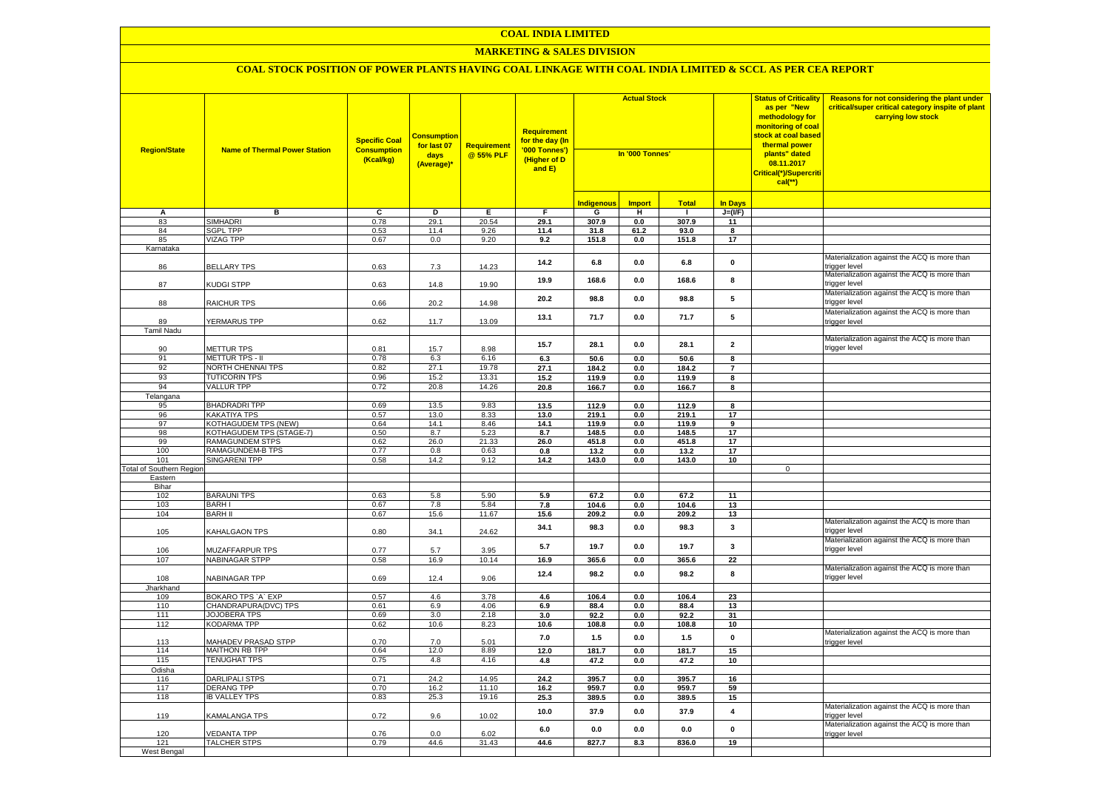#### **MARKETING & SALES DIVISION**

| <b>Region/State</b>             | <b>Name of Thermal Power Station</b>        | <b>Specific Coal</b><br><b>Consumption</b><br>(Kcal/kg) | <b>Consumptior</b><br>for last 07<br>days<br>(Average)* | <b>Requirement</b><br>@ 55% PLF | <b>Requirement</b><br>for the day (In<br>'000 Tonnes')<br>(Higher of D<br>and E) | <b>Actual Stock</b><br>In '000 Tonnes' |                    |               |                         | <b>Status of Criticality</b><br>as per "New<br>methodology for<br>monitoring of coal<br><mark>stock at coal based</mark><br>thermal power<br>plants" dated<br>08.11.2017<br>Critical(*)/Supercriti<br>$cal$ (**) | Reasons for not considering the plant under<br>critical/super critical category inspite of plant<br>carrying low stock |
|---------------------------------|---------------------------------------------|---------------------------------------------------------|---------------------------------------------------------|---------------------------------|----------------------------------------------------------------------------------|----------------------------------------|--------------------|---------------|-------------------------|------------------------------------------------------------------------------------------------------------------------------------------------------------------------------------------------------------------|------------------------------------------------------------------------------------------------------------------------|
|                                 |                                             |                                                         |                                                         |                                 |                                                                                  | <b>Indigenous</b>                      | <b>Import</b>      | <b>Total</b>  | <b>In Davs</b>          |                                                                                                                                                                                                                  |                                                                                                                        |
| А                               | в                                           | $\overline{c}$                                          | Þ                                                       | E                               | $\overline{F}$                                                                   | G                                      | н                  | -1            | $J=(VF)$                |                                                                                                                                                                                                                  |                                                                                                                        |
| 83                              | <b>SIMHADRI</b>                             | 0.78                                                    | 29.1                                                    | 20.54                           | 29.1                                                                             | 307.9                                  | 0.0                | 307.9         | 11                      |                                                                                                                                                                                                                  |                                                                                                                        |
| 84                              | <b>SGPL TPP</b>                             | 0.53                                                    | 11.4                                                    | 9.26                            | 11.4                                                                             | 31.8                                   | 61.2               | 93.0          | 8                       |                                                                                                                                                                                                                  |                                                                                                                        |
| 85                              | <b>VIZAG TPP</b>                            | 0.67                                                    | 0.0                                                     | 9.20                            | 9.2                                                                              | 151.8                                  | 0.0                | 151.8         | 17                      |                                                                                                                                                                                                                  |                                                                                                                        |
| Karnataka                       |                                             |                                                         |                                                         |                                 |                                                                                  |                                        |                    |               |                         |                                                                                                                                                                                                                  |                                                                                                                        |
| 86                              | <b>BELLARY TPS</b>                          | 0.63                                                    | 7.3                                                     | 14.23                           | 14.2                                                                             | 6.8                                    | $0.0\,$            | 6.8           | $\mathbf 0$             |                                                                                                                                                                                                                  | Materialization against the ACQ is more than<br>trigger level                                                          |
| 87                              | KUDGI STPP                                  | 0.63                                                    | 14.8                                                    | 19.90                           | 19.9                                                                             | 168.6                                  | 0.0                | 168.6         | 8                       |                                                                                                                                                                                                                  | Materialization against the ACQ is more than<br>trigger level                                                          |
| 88                              | <b>RAICHUR TPS</b>                          | 0.66                                                    | 20.2                                                    | 14.98                           | 20.2                                                                             | 98.8                                   | 0.0                | 98.8          | 5                       |                                                                                                                                                                                                                  | Materialization against the ACQ is more than<br>rigger level                                                           |
|                                 |                                             |                                                         |                                                         |                                 | 13.1                                                                             | 71.7                                   | 0.0                | 71.7          | 5                       |                                                                                                                                                                                                                  | Materialization against the ACQ is more than                                                                           |
| 89<br>Tamil Nadu                | YERMARUS TPP                                | 0.62                                                    | 11.7                                                    | 13.09                           |                                                                                  |                                        |                    |               |                         |                                                                                                                                                                                                                  | rigger level                                                                                                           |
|                                 |                                             |                                                         |                                                         |                                 |                                                                                  |                                        |                    |               |                         |                                                                                                                                                                                                                  | Materialization against the ACQ is more than                                                                           |
| 90                              | <b>METTUR TPS</b>                           | 0.81                                                    | 15.7                                                    | 8.98                            | 15.7                                                                             | 28.1                                   | 0.0                | 28.1          | $\overline{\mathbf{2}}$ |                                                                                                                                                                                                                  | trigger level                                                                                                          |
| 91                              | METTUR TPS - II                             | 0.78                                                    | 6.3                                                     | 6.16                            | 6.3                                                                              | 50.6                                   | 0.0                | 50.6          | 8                       |                                                                                                                                                                                                                  |                                                                                                                        |
| 92                              | NORTH CHENNAI TPS                           | 0.82                                                    | 27.1                                                    | 19.78                           | 27.1                                                                             | 184.2                                  | 0.0                | 184.2         | $\overline{7}$          |                                                                                                                                                                                                                  |                                                                                                                        |
| 93                              | <b>TUTICORIN TPS</b>                        | 0.96                                                    | 15.2                                                    | 13.31                           | 15.2                                                                             | 119.9                                  | 0.0                | 119.9         | 8                       |                                                                                                                                                                                                                  |                                                                                                                        |
| 94                              | <b>VALLUR TPP</b>                           | 0.72                                                    | 20.8                                                    | 14.26                           | 20.8                                                                             | 166.7                                  | $0.0\,$            | 166.7         | 8                       |                                                                                                                                                                                                                  |                                                                                                                        |
| Telangana                       |                                             |                                                         |                                                         |                                 |                                                                                  |                                        |                    |               |                         |                                                                                                                                                                                                                  |                                                                                                                        |
| 95                              | <b>BHADRADRI TPP</b>                        | 0.69                                                    | 13.5                                                    | 9.83                            | 13.5                                                                             | 112.9                                  | 0.0                | 112.9         | $\overline{\mathbf{8}}$ |                                                                                                                                                                                                                  |                                                                                                                        |
| 96                              | <b>KAKATIYA TPS</b>                         | 0.57                                                    | 13.0                                                    | 8.33                            | 13.0                                                                             | 219.1                                  | 0.0                | 219.1         | 17                      |                                                                                                                                                                                                                  |                                                                                                                        |
| 97                              | KOTHAGUDEM TPS (NEW)                        | 0.64                                                    | 14.1                                                    | 8.46                            | 14.1                                                                             | 119.9                                  | 0.0                | 119.9         | $\overline{9}$          |                                                                                                                                                                                                                  |                                                                                                                        |
| 98<br>99                        | KOTHAGUDEM TPS (STAGE-7)<br>RAMAGUNDEM STPS | 0.50<br>0.62                                            | 8.7<br>26.0                                             | 5.23<br>21.33                   | 8.7                                                                              | 148.5                                  | 0.0                | 148.5         | 17<br>17                |                                                                                                                                                                                                                  |                                                                                                                        |
| 100                             | RAMAGUNDEM-B TPS                            | 0.77                                                    | 0.8                                                     | 0.63                            | 26.0<br>0.8                                                                      | 451.8<br>13.2                          | 0.0<br>0.0         | 451.8<br>13.2 | 17                      |                                                                                                                                                                                                                  |                                                                                                                        |
| 101                             | <b>SINGARENI TPP</b>                        | 0.58                                                    | 14.2                                                    | 9.12                            | 14.2                                                                             | 143.0                                  | $0.0\,$            | 143.0         | 10                      |                                                                                                                                                                                                                  |                                                                                                                        |
| <b>Total of Southern Region</b> |                                             |                                                         |                                                         |                                 |                                                                                  |                                        |                    |               |                         | $\mathbf 0$                                                                                                                                                                                                      |                                                                                                                        |
| Eastern                         |                                             |                                                         |                                                         |                                 |                                                                                  |                                        |                    |               |                         |                                                                                                                                                                                                                  |                                                                                                                        |
| Bihar                           |                                             |                                                         |                                                         |                                 |                                                                                  |                                        |                    |               |                         |                                                                                                                                                                                                                  |                                                                                                                        |
| 102                             | <b>BARAUNI TPS</b>                          | 0.63                                                    | 5.8                                                     | 5.90                            | 5.9                                                                              | 67.2                                   | 0.0                | 67.2          | 11                      |                                                                                                                                                                                                                  |                                                                                                                        |
| 103                             | <b>BARHI</b>                                | 0.67                                                    | 7.8                                                     | 5.84                            | 7.8                                                                              | 104.6                                  | 0.0                | 104.6         | 13                      |                                                                                                                                                                                                                  |                                                                                                                        |
| 104                             | <b>BARH II</b>                              | 0.67                                                    | 15.6                                                    | 11.67                           | 15.6                                                                             | 209.2                                  | 0.0                | 209.2         | 13                      |                                                                                                                                                                                                                  | Materialization against the ACQ is more than                                                                           |
| 105                             | KAHALGAON TPS                               | 0.80                                                    | 34.1                                                    | 24.62                           | 34.1                                                                             | 98.3                                   | 0.0                | 98.3          | 3                       |                                                                                                                                                                                                                  | rigger level:                                                                                                          |
| 106                             | MUZAFFARPUR TPS                             | 0.77                                                    | 5.7                                                     | 3.95                            | 5.7                                                                              | 19.7                                   | 0.0                | 19.7          | $\mathbf{3}$            |                                                                                                                                                                                                                  | Materialization against the ACQ is more than<br>rigger level                                                           |
| 107                             | <b>NABINAGAR STPP</b>                       | 0.58                                                    | 16.9                                                    | 10.14                           | 16.9                                                                             | 365.6                                  | 0.0                | 365.6         | 22                      |                                                                                                                                                                                                                  | Materialization against the ACQ is more than                                                                           |
| 108                             | NABINAGAR TPP                               | 0.69                                                    | 12.4                                                    | 9.06                            | 12.4                                                                             | 98.2                                   | 0.0                | 98.2          | 8                       |                                                                                                                                                                                                                  | rigger level                                                                                                           |
| Jharkhand<br>109                | BOKARO TPS 'A' EXP                          | 0.57                                                    | 4.6                                                     | 3.78                            |                                                                                  | 106.4                                  |                    | 106.4         |                         |                                                                                                                                                                                                                  |                                                                                                                        |
| 110                             | CHANDRAPURA(DVC) TPS                        | 0.61                                                    | 6.9                                                     | 4.06                            | 4.6<br>6.9                                                                       | 88.4                                   | $0.0\,$<br>$0.0\,$ | 88.4          | 23<br>13                |                                                                                                                                                                                                                  |                                                                                                                        |
| 111                             | <b>JOJOBERA TPS</b>                         | 0.69                                                    | 3.0                                                     | 2.18                            | 3.0                                                                              | 92.2                                   | 0.0                | 92.2          | 31                      |                                                                                                                                                                                                                  |                                                                                                                        |
| 112                             | KODARMA TPP                                 | 0.62                                                    | 10.6                                                    | 8.23                            | 10.6                                                                             | 108.8                                  | $0.0\,$            | 108.8         | 10                      |                                                                                                                                                                                                                  |                                                                                                                        |
| 113                             | MAHADEV PRASAD STPP                         | 0.70                                                    | 7.0                                                     | 5.01                            | 7.0                                                                              | 1.5                                    | $0.0\,$            | 1.5           | $\pmb{0}$               |                                                                                                                                                                                                                  | Materialization against the ACQ is more than<br>rigger level                                                           |
| 114                             | <b>MAITHON RB TPP</b>                       | 0.64                                                    | 12.0                                                    | 8.89                            | 12.0                                                                             | 181.7                                  | 0.0                | 181.7         | 15                      |                                                                                                                                                                                                                  |                                                                                                                        |
| 115                             | <b>TENUGHAT TPS</b>                         | 0.75                                                    | 4.8                                                     | 4.16                            | 4.8                                                                              | 47.2                                   | 0.0                | 47.2          | 10                      |                                                                                                                                                                                                                  |                                                                                                                        |
| Odisha                          |                                             |                                                         |                                                         |                                 |                                                                                  |                                        |                    |               |                         |                                                                                                                                                                                                                  |                                                                                                                        |
| 116                             | <b>DARLIPALI STPS</b>                       | 0.71                                                    | 24.2                                                    | 14.95                           | 24.2                                                                             | 395.7                                  | 0.0                | 395.7         | 16                      |                                                                                                                                                                                                                  |                                                                                                                        |
| 117                             | DERANG TPP                                  | 0.70                                                    | 16.2                                                    | 11.10                           | 16.2                                                                             | 959.7                                  | 0.0                | 959.7         | 59                      |                                                                                                                                                                                                                  |                                                                                                                        |
| 118                             | <b>IB VALLEY TPS</b>                        | 0.83                                                    | 25.3                                                    | 19.16                           | 25.3                                                                             | 389.5                                  | $0.0\,$            | 389.5         | 15                      |                                                                                                                                                                                                                  |                                                                                                                        |
| 119                             | <b>KAMALANGA TPS</b>                        | 0.72                                                    | 9.6                                                     | 10.02                           | 10.0                                                                             | 37.9                                   | 0.0                | 37.9          | 4                       |                                                                                                                                                                                                                  | Materialization against the ACQ is more than<br>rigger level                                                           |
| 120                             | <b>/EDANTA TPP</b>                          | 0.76                                                    | 0.0                                                     | 6.02                            | 6.0                                                                              | 0.0                                    | 0.0                | 0.0           | $\pmb{0}$               |                                                                                                                                                                                                                  | Materialization against the ACQ is more than<br>trigger level                                                          |
| 121                             | <b>TALCHER STPS</b>                         | 0.79                                                    | 44.6                                                    | 31.43                           | 44.6                                                                             | 827.7                                  | 8.3                | 836.0         | 19                      |                                                                                                                                                                                                                  |                                                                                                                        |
| West Bengal                     |                                             |                                                         |                                                         |                                 |                                                                                  |                                        |                    |               |                         |                                                                                                                                                                                                                  |                                                                                                                        |